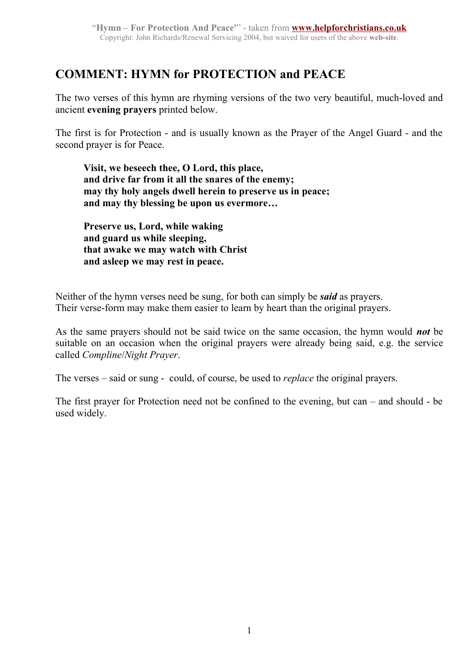## **COMMENT: HYMN for PROTECTION and PEACE**

The two verses of this hymn are rhyming versions of the two very beautiful, much-loved and ancient **evening prayers** printed below.

The first is for Protection - and is usually known as the Prayer of the Angel Guard - and the second prayer is for Peace.

**Visit, we beseech thee, O Lord, this place, and drive far from it all the snares of the enemy; may thy holy angels dwell herein to preserve us in peace; and may thy blessing be upon us evermore…** 

**Preserve us, Lord, while waking and guard us while sleeping, that awake we may watch with Christ and asleep we may rest in peace.**

Neither of the hymn verses need be sung, for both can simply be *said* as prayers. Their verse-form may make them easier to learn by heart than the original prayers.

As the same prayers should not be said twice on the same occasion, the hymn would *not* be suitable on an occasion when the original prayers were already being said, e.g. the service called *Compline*/*Night Prayer*.

The verses – said or sung - could, of course, be used to *replace* the original prayers.

The first prayer for Protection need not be confined to the evening, but can – and should - be used widely.